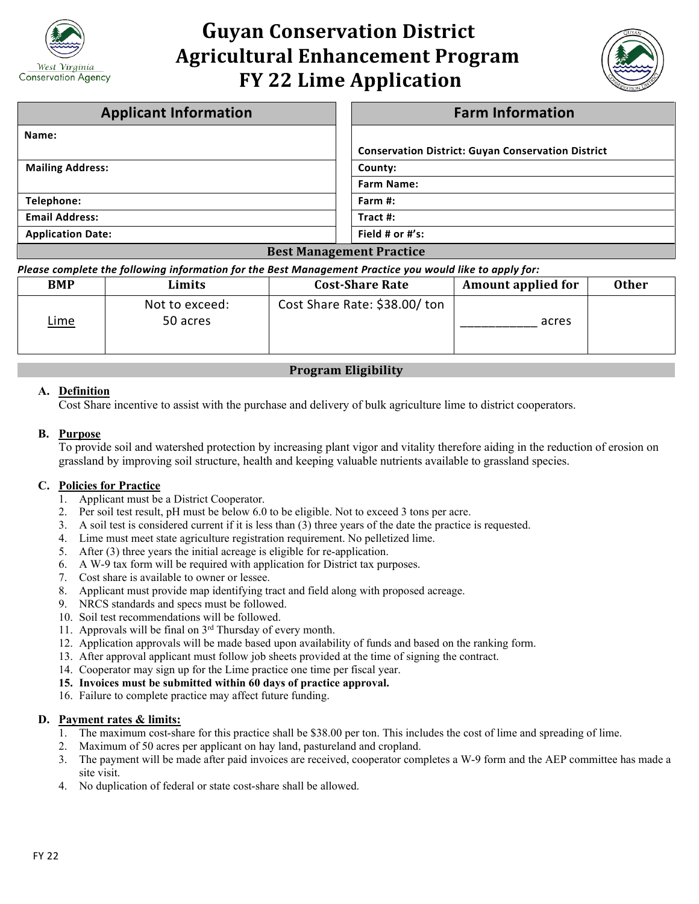

# **Guyan Conservation District Agricultural Enhancement Program FY 22 Lime Application**



| <b>Applicant Information</b>                                                                            | <b>Farm Information</b>                                   |  |  |  |
|---------------------------------------------------------------------------------------------------------|-----------------------------------------------------------|--|--|--|
| Name:                                                                                                   |                                                           |  |  |  |
|                                                                                                         | <b>Conservation District: Guyan Conservation District</b> |  |  |  |
| <b>Mailing Address:</b>                                                                                 | County:                                                   |  |  |  |
|                                                                                                         | <b>Farm Name:</b>                                         |  |  |  |
| Telephone:                                                                                              | Farm #:                                                   |  |  |  |
| <b>Email Address:</b>                                                                                   | Tract #:                                                  |  |  |  |
| <b>Application Date:</b>                                                                                | Field # or #'s:                                           |  |  |  |
| $D_{\text{ext}} M_{\text{ext}}$ and $\sigma_{\text{ext}}$ and $D_{\text{ext}}$ at $\sigma_{\text{ext}}$ |                                                           |  |  |  |

#### **Best Management Practice**

#### *Please complete the following information for the Best Management Practice you would like to apply for:*

| <b>BMP</b>  | Limits                     | <b>Cost-Share Rate</b>        | <b>Amount applied for</b> | <b>Other</b> |
|-------------|----------------------------|-------------------------------|---------------------------|--------------|
| <b>Lime</b> | Not to exceed:<br>50 acres | Cost Share Rate: \$38.00/ ton | acres                     |              |

# **Program Eligibility**

### **A. Definition**

Cost Share incentive to assist with the purchase and delivery of bulk agriculture lime to district cooperators.

### **B. Purpose**

To provide soil and watershed protection by increasing plant vigor and vitality therefore aiding in the reduction of erosion on grassland by improving soil structure, health and keeping valuable nutrients available to grassland species.

# **C. Policies for Practice**<br>1. **Applicant must be**

- 1. Applicant must be a District Cooperator.
- 2. Per soil test result, pH must be below 6.0 to be eligible. Not to exceed 3 tons per acre.
- 3. A soil test is considered current if it is less than (3) three years of the date the practice is requested.
- 4. Lime must meet state agriculture registration requirement. No pelletized lime.
- 5. After (3) three years the initial acreage is eligible for re-application.
- 6. A W-9 tax form will be required with application for District tax purposes.
- 7. Cost share is available to owner or lessee.
- 8. Applicant must provide map identifying tract and field along with proposed acreage.
- 9. NRCS standards and specs must be followed.
- 10. Soil test recommendations will be followed.
- 11. Approvals will be final on 3rd Thursday of every month.
- 12. Application approvals will be made based upon availability of funds and based on the ranking form.
- 13. After approval applicant must follow job sheets provided at the time of signing the contract.
- 14. Cooperator may sign up for the Lime practice one time per fiscal year.
- **15. Invoices must be submitted within 60 days of practice approval.**
- 16. Failure to complete practice may affect future funding.

#### **D. Payment rates & limits:**

- 1. The maximum cost-share for this practice shall be \$38.00 per ton. This includes the cost of lime and spreading of lime.
- 2. Maximum of 50 acres per applicant on hay land, pastureland and cropland.
- 3. The payment will be made after paid invoices are received, cooperator completes a W-9 form and the AEP committee has made a site visit.
- 4. No duplication of federal or state cost-share shall be allowed.